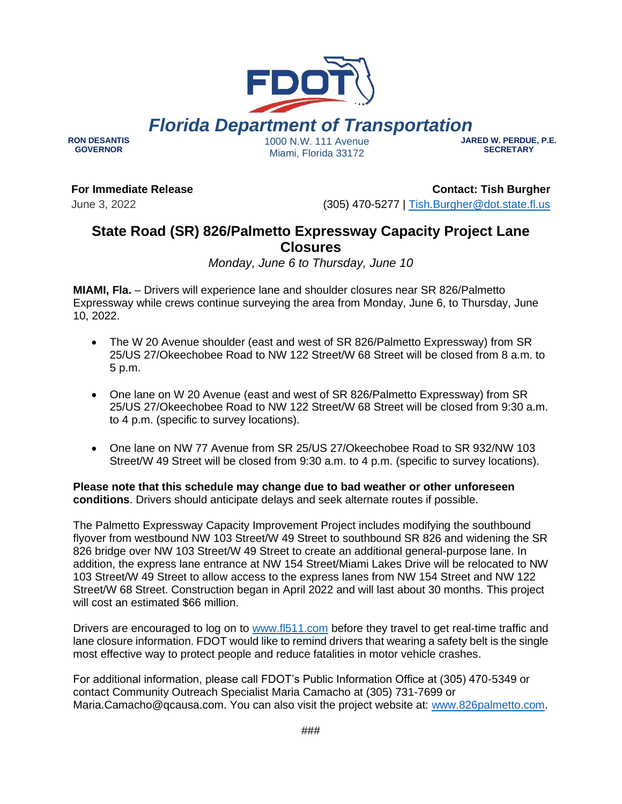### ###

# 1000 N.W. 111 Avenue Miami, Florida 33172

# **For Immediate Release**

June 3, 2022

**RON DESANTIS GOVERNOR**

> **Contact: Tish Burgher** (305) 470-5277 | [Tish.Burgher@dot.state.fl.us](mailto:Tish.Burgher@dot.state.fl.us)

# **State Road (SR) 826/Palmetto Expressway Capacity Project Lane Closures**

*Monday, June 6 to Thursday, June 10*

**MIAMI, Fla.** – Drivers will experience lane and shoulder closures near SR 826/Palmetto Expressway while crews continue surveying the area from Monday, June 6, to Thursday, June 10, 2022.

- The W 20 Avenue shoulder (east and west of SR 826/Palmetto Expressway) from SR 25/US 27/Okeechobee Road to NW 122 Street/W 68 Street will be closed from 8 a.m. to 5 p.m.
- One lane on W 20 Avenue (east and west of SR 826/Palmetto Expressway) from SR 25/US 27/Okeechobee Road to NW 122 Street/W 68 Street will be closed from 9:30 a.m. to 4 p.m. (specific to survey locations).
- One lane on NW 77 Avenue from SR 25/US 27/Okeechobee Road to SR 932/NW 103 Street/W 49 Street will be closed from 9:30 a.m. to 4 p.m. (specific to survey locations).

**Please note that this schedule may change due to bad weather or other unforeseen conditions**. Drivers should anticipate delays and seek alternate routes if possible.

The Palmetto Expressway Capacity Improvement Project includes modifying the southbound flyover from westbound NW 103 Street/W 49 Street to southbound SR 826 and widening the SR 826 bridge over NW 103 Street/W 49 Street to create an additional general-purpose lane. In addition, the express lane entrance at NW 154 Street/Miami Lakes Drive will be relocated to NW 103 Street/W 49 Street to allow access to the express lanes from NW 154 Street and NW 122 Street/W 68 Street. Construction began in April 2022 and will last about 30 months. This project will cost an estimated \$66 million.

Drivers are encouraged to log on to [www.fl511.com](http://www.fl511.com/) before they travel to get real-time traffic and lane closure information. FDOT would like to remind drivers that wearing a safety belt is the single most effective way to protect people and reduce fatalities in motor vehicle crashes.

For additional information, please call FDOT's Public Information Office at (305) 470-5349 or contact Community Outreach Specialist Maria Camacho at (305) 731-7699 or Maria.Camacho@qcausa.com. You can also visit the project website at: [www.826palmetto.com.](http://www.826palmetto.com/)



**JARED W. PERDUE, P.E. SECRETARY**